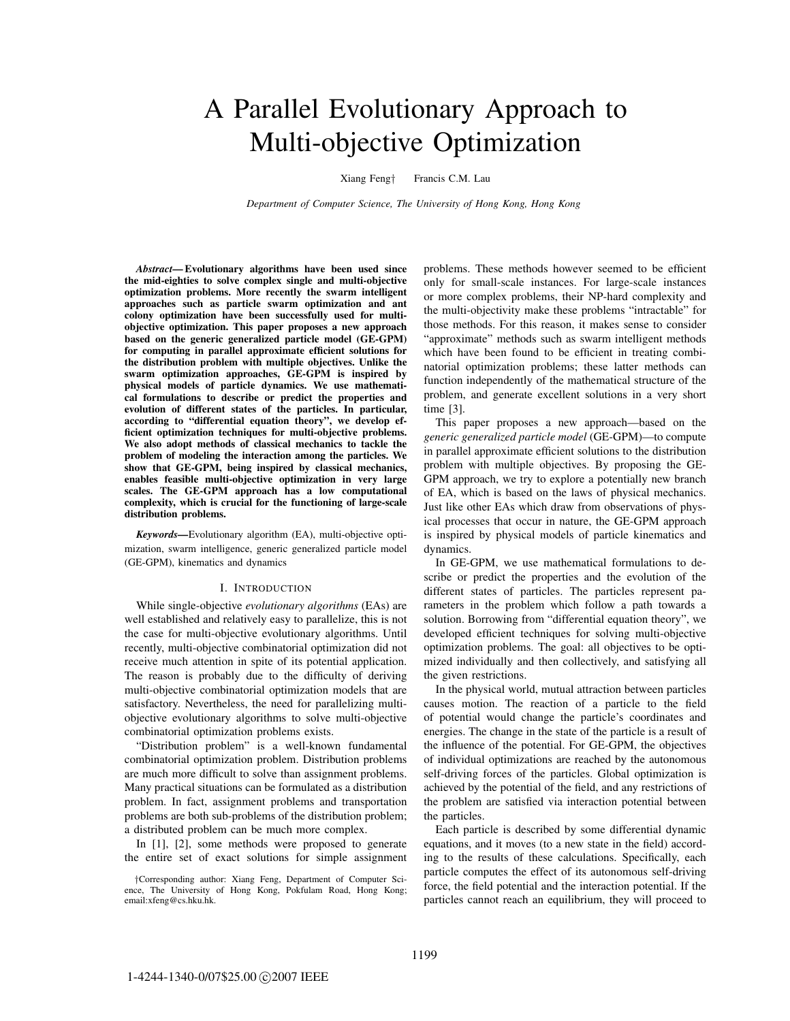# A Parallel Evolutionary Approach to Multi-objective Optimization

Xiang Feng† Francis C.M. Lau

*Department of Computer Science, The University of Hong Kong, Hong Kong*

*Abstract***— Evolutionary algorithms have been used since the mid-eighties to solve complex single and multi-objective optimization problems. More recently the swarm intelligent approaches such as particle swarm optimization and ant colony optimization have been successfully used for multiobjective optimization. This paper proposes a new approach based on the generic generalized particle model (GE-GPM) for computing in parallel approximate efficient solutions for the distribution problem with multiple objectives. Unlike the swarm optimization approaches, GE-GPM is inspired by physical models of particle dynamics. We use mathematical formulations to describe or predict the properties and evolution of different states of the particles. In particular, according to "differential equation theory", we develop efficient optimization techniques for multi-objective problems. We also adopt methods of classical mechanics to tackle the problem of modeling the interaction among the particles. We show that GE-GPM, being inspired by classical mechanics, enables feasible multi-objective optimization in very large scales. The GE-GPM approach has a low computational complexity, which is crucial for the functioning of large-scale distribution problems.**

*Keywords—*Evolutionary algorithm (EA), multi-objective optimization, swarm intelligence, generic generalized particle model (GE-GPM), kinematics and dynamics

#### I. INTRODUCTION

While single-objective *evolutionary algorithms* (EAs) are well established and relatively easy to parallelize, this is not the case for multi-objective evolutionary algorithms. Until recently, multi-objective combinatorial optimization did not receive much attention in spite of its potential application. The reason is probably due to the difficulty of deriving multi-objective combinatorial optimization models that are satisfactory. Nevertheless, the need for parallelizing multiobjective evolutionary algorithms to solve multi-objective combinatorial optimization problems exists.

"Distribution problem" is a well-known fundamental combinatorial optimization problem. Distribution problems are much more difficult to solve than assignment problems. Many practical situations can be formulated as a distribution problem. In fact, assignment problems and transportation problems are both sub-problems of the distribution problem; a distributed problem can be much more complex.

In [1], [2], some methods were proposed to generate the entire set of exact solutions for simple assignment

†Corresponding author: Xiang Feng, Department of Computer Science, The University of Hong Kong, Pokfulam Road, Hong Kong; email:xfeng@cs.hku.hk.

problems. These methods however seemed to be efficient only for small-scale instances. For large-scale instances or more complex problems, their NP-hard complexity and the multi-objectivity make these problems "intractable" for those methods. For this reason, it makes sense to consider "approximate" methods such as swarm intelligent methods which have been found to be efficient in treating combinatorial optimization problems; these latter methods can function independently of the mathematical structure of the problem, and generate excellent solutions in a very short time [3].

This paper proposes a new approach—based on the *generic generalized particle model* (GE-GPM)—to compute in parallel approximate efficient solutions to the distribution problem with multiple objectives. By proposing the GE-GPM approach, we try to explore a potentially new branch of EA, which is based on the laws of physical mechanics. Just like other EAs which draw from observations of physical processes that occur in nature, the GE-GPM approach is inspired by physical models of particle kinematics and dynamics.

In GE-GPM, we use mathematical formulations to describe or predict the properties and the evolution of the different states of particles. The particles represent parameters in the problem which follow a path towards a solution. Borrowing from "differential equation theory", we developed efficient techniques for solving multi-objective optimization problems. The goal: all objectives to be optimized individually and then collectively, and satisfying all the given restrictions.

In the physical world, mutual attraction between particles causes motion. The reaction of a particle to the field of potential would change the particle's coordinates and energies. The change in the state of the particle is a result of the influence of the potential. For GE-GPM, the objectives of individual optimizations are reached by the autonomous self-driving forces of the particles. Global optimization is achieved by the potential of the field, and any restrictions of the problem are satisfied via interaction potential between the particles.

Each particle is described by some differential dynamic equations, and it moves (to a new state in the field) according to the results of these calculations. Specifically, each particle computes the effect of its autonomous self-driving force, the field potential and the interaction potential. If the particles cannot reach an equilibrium, they will proceed to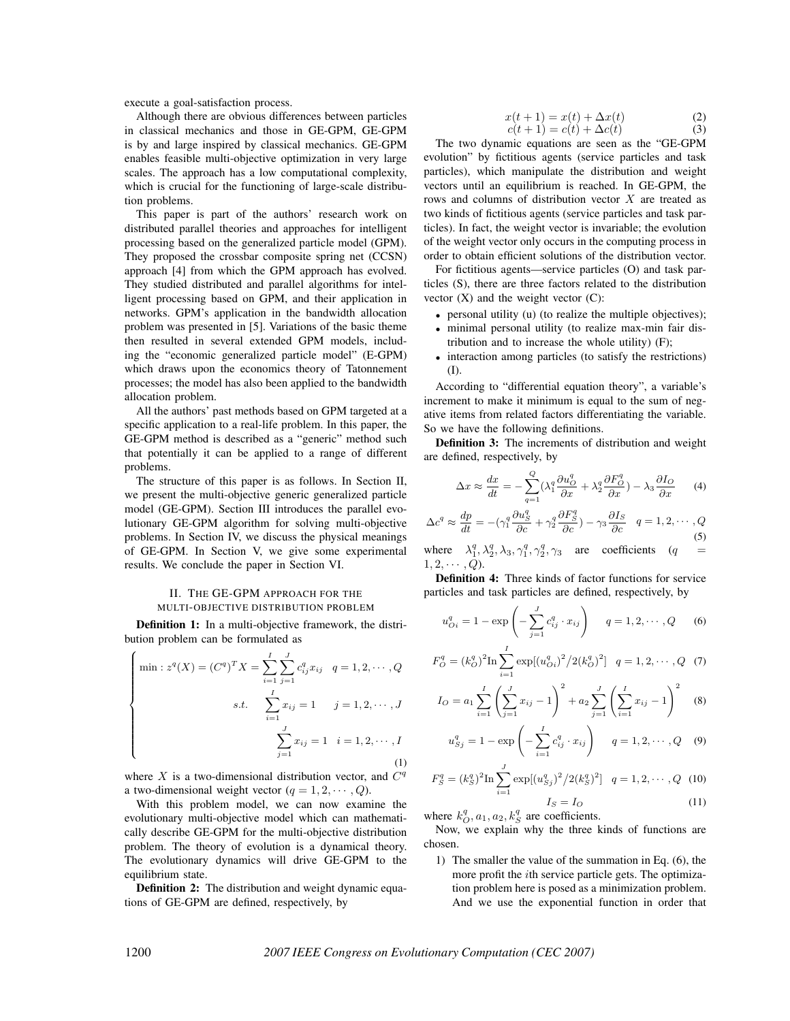execute a goal-satisfaction process.

Although there are obvious differences between particles in classical mechanics and those in GE-GPM, GE-GPM is by and large inspired by classical mechanics. GE-GPM enables feasible multi-objective optimization in very large scales. The approach has a low computational complexity, which is crucial for the functioning of large-scale distribution problems.

This paper is part of the authors' research work on distributed parallel theories and approaches for intelligent processing based on the generalized particle model (GPM). They proposed the crossbar composite spring net (CCSN) approach [4] from which the GPM approach has evolved. They studied distributed and parallel algorithms for intelligent processing based on GPM, and their application in networks. GPM's application in the bandwidth allocation problem was presented in [5]. Variations of the basic theme then resulted in several extended GPM models, including the "economic generalized particle model" (E-GPM) which draws upon the economics theory of Tatonnement processes; the model has also been applied to the bandwidth allocation problem.

All the authors' past methods based on GPM targeted at a specific application to a real-life problem. In this paper, the GE-GPM method is described as a "generic" method such that potentially it can be applied to a range of different problems.

The structure of this paper is as follows. In Section II, we present the multi-objective generic generalized particle model (GE-GPM). Section III introduces the parallel evolutionary GE-GPM algorithm for solving multi-objective problems. In Section IV, we discuss the physical meanings of GE-GPM. In Section V, we give some experimental results. We conclude the paper in Section VI.

# II. THE GE-GPM APPROACH FOR THE MULTI-OBJECTIVE DISTRIBUTION PROBLEM

**Definition 1:** In a multi-objective framework, the distribution problem can be formulated as

$$
\begin{cases}\n\min : z^q(X) = (C^q)^T X = \sum_{i=1}^I \sum_{j=1}^J c_{ij}^q x_{ij} & q = 1, 2, \dots, Q \\
s.t. & \sum_{i=1}^I x_{ij} = 1 & j = 1, 2, \dots, J \\
& \sum_{j=1}^J x_{ij} = 1 & i = 1, 2, \dots, I \\
& (1)\n\end{cases}
$$

where X is a two-dimensional distribution vector, and  $C<sup>q</sup>$ a two-dimensional weight vector  $(q = 1, 2, \dots, Q)$ .

With this problem model, we can now examine the evolutionary multi-objective model which can mathematically describe GE-GPM for the multi-objective distribution problem. The theory of evolution is a dynamical theory. The evolutionary dynamics will drive GE-GPM to the equilibrium state.

**Definition 2:** The distribution and weight dynamic equations of GE-GPM are defined, respectively, by

$$
x(t + 1) = x(t) + \Delta x(t)
$$
  
\n
$$
c(t + 1) = c(t) + \Delta c(t)
$$
\n(2)  
\n(3)

The two dynamic equations are seen as the "GE-GPM evolution" by fictitious agents (service particles and task particles), which manipulate the distribution and weight vectors until an equilibrium is reached. In GE-GPM, the rows and columns of distribution vector  $X$  are treated as two kinds of fictitious agents (service particles and task particles). In fact, the weight vector is invariable; the evolution of the weight vector only occurs in the computing process in order to obtain efficient solutions of the distribution vector.

For fictitious agents—service particles (O) and task particles (S), there are three factors related to the distribution vector  $(X)$  and the weight vector  $(C)$ :

- personal utility (u) (to realize the multiple objectives);
- minimal personal utility (to realize max-min fair dis-
- tribution and to increase the whole utility) (F);
- interaction among particles (to satisfy the restrictions) (I).

According to "differential equation theory", a variable's increment to make it minimum is equal to the sum of negative items from related factors differentiating the variable. So we have the following definitions.

**Definition 3:** The increments of distribution and weight are defined, respectively, by

$$
\Delta x \approx \frac{dx}{dt} = -\sum_{q=1}^{Q} \left(\lambda_1^q \frac{\partial u_Q^q}{\partial x} + \lambda_2^q \frac{\partial F_Q^q}{\partial x}\right) - \lambda_3 \frac{\partial I_Q}{\partial x} \tag{4}
$$

$$
\Delta c^q \approx \frac{dp}{dt} = -(\gamma_1^q \frac{\partial u_S^q}{\partial c} + \gamma_2^q \frac{\partial F_S^q}{\partial c}) - \gamma_3 \frac{\partial I_S}{\partial c} \quad q = 1, 2, \cdots, Q
$$
\n(5)

where  $\lambda_1^q, \lambda_2^q, \lambda_3, \gamma_1^q, \gamma_2^q, \gamma_3$  are coefficients  $(q =$  $1, 2, \cdots, Q$ ).

**Definition 4:** Three kinds of factor functions for service particles and task particles are defined, respectively, by

$$
u_{Oi}^{q} = 1 - \exp\left(-\sum_{j=1}^{J} c_{ij}^{q} \cdot x_{ij}\right) \quad q = 1, 2, \cdots, Q \quad (6)
$$

$$
F_O^q = (k_O^q)^2 \ln \sum_{i=1}^I \exp[(u_{O_i}^q)^2 / 2(k_O^q)^2] \quad q = 1, 2, \cdots, Q \quad (7)
$$

$$
I_O = a_1 \sum_{i=1}^{I} \left( \sum_{j=1}^{J} x_{ij} - 1 \right)^2 + a_2 \sum_{j=1}^{J} \left( \sum_{i=1}^{I} x_{ij} - 1 \right)^2 \tag{8}
$$

$$
u_{Sj}^{q} = 1 - \exp\left(-\sum_{i=1}^{I} c_{ij}^{q} \cdot x_{ij}\right) \quad q = 1, 2, \cdots, Q \quad (9)
$$

$$
F_S^q = (k_S^q)^2 \ln \sum_{i=1}^J \exp[(u_{Sj}^q)^2 / 2(k_S^q)^2] \quad q = 1, 2, \cdots, Q \quad (10)
$$

$$
I_S = I_Q \tag{11}
$$

where  $k_Q^q, a_1, a_2, k_S^q$  are coefficients.

Now, we explain why the three kinds of functions are chosen.

1) The smaller the value of the summation in Eq. (6), the more profit the ith service particle gets. The optimization problem here is posed as a minimization problem. And we use the exponential function in order that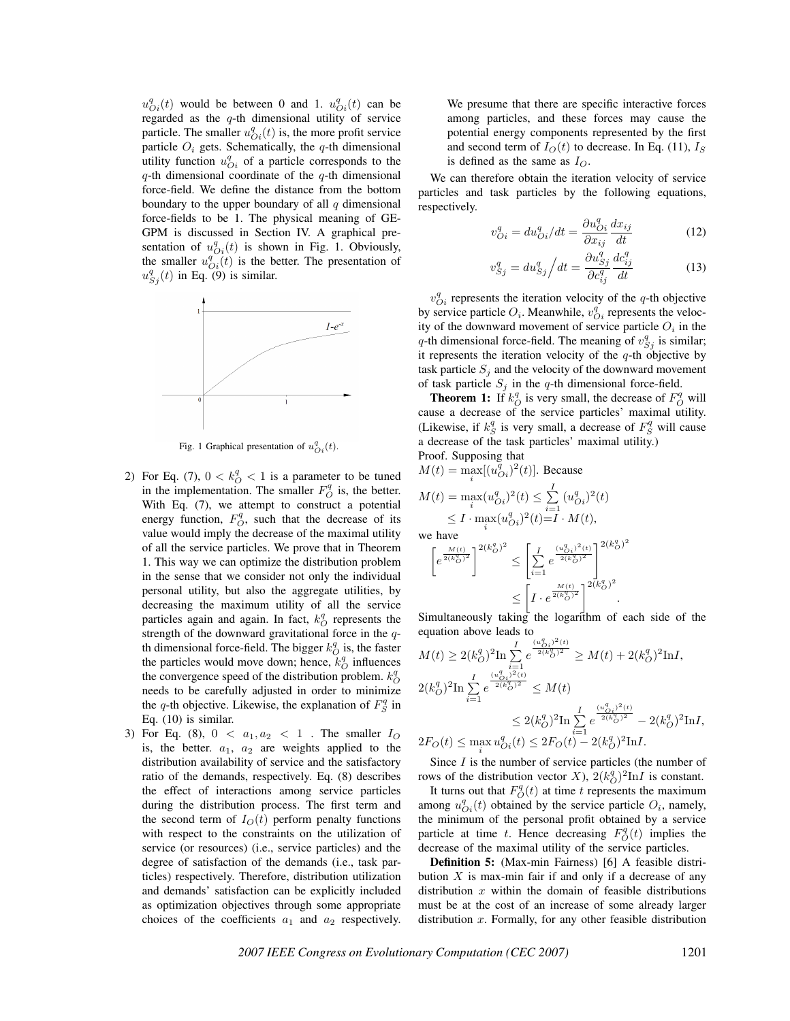$u_{Qi}^{q}(t)$  would be between 0 and 1.  $u_{Qi}^{q}(t)$  can be regarded as the  $q$ -th dimensional utility of service particle. The smaller  $u_{Qi}^{q}(t)$  is, the more profit service particle  $O_i$  gets. Schematically, the q-th dimensional utility function  $u_{Qi}^q$  of a particle corresponds to the  $q$ -th dimensional coordinate of the  $q$ -th dimensional force-field. We define the distance from the bottom boundary to the upper boundary of all  $q$  dimensional force-fields to be 1. The physical meaning of GE-GPM is discussed in Section IV. A graphical presentation of  $u_{Oi}^q(t)$  is shown in Fig. 1. Obviously, the smaller  $u_{Qi}^{q_i(t)}$  is the better. The presentation of  $u_{S_i}^q(t)$  in Eq. (9) is similar.



Fig. 1 Graphical presentation of  $u_{Qi}^{q}(t)$ .

- 2) For Eq. (7),  $0 < k_Q^q < 1$  is a parameter to be tuned in the implementation. The smaller  $F_Q^q$  is, the better. With Eq. (7), we attempt to construct a potential energy function,  $F_Q^q$ , such that the decrease of its value would imply the decrease of the maximal utility of all the service particles. We prove that in Theorem 1. This way we can optimize the distribution problem in the sense that we consider not only the individual personal utility, but also the aggregate utilities, by decreasing the maximum utility of all the service particles again and again. In fact,  $k_Q^q$  represents the strength of the downward gravitational force in the qth dimensional force-field. The bigger  $k_Q^q$  is, the faster the particles would move down; hence,  $k_Q^q$  influences the convergence speed of the distribution problem.  $k_Q^q$ needs to be carefully adjusted in order to minimize the q-th objective. Likewise, the explanation of  $F_S^q$  in Eq. (10) is similar.
- 3) For Eq. (8),  $0 < a_1, a_2 < 1$ . The smaller  $I_O$ is, the better.  $a_1$ ,  $a_2$  are weights applied to the distribution availability of service and the satisfactory ratio of the demands, respectively. Eq. (8) describes the effect of interactions among service particles during the distribution process. The first term and the second term of  $I<sub>O</sub>(t)$  perform penalty functions with respect to the constraints on the utilization of service (or resources) (i.e., service particles) and the degree of satisfaction of the demands (i.e., task particles) respectively. Therefore, distribution utilization and demands' satisfaction can be explicitly included as optimization objectives through some appropriate choices of the coefficients  $a_1$  and  $a_2$  respectively.

We presume that there are specific interactive forces among particles, and these forces may cause the potential energy components represented by the first and second term of  $I<sub>O</sub>(t)$  to decrease. In Eq. (11),  $I<sub>S</sub>$ is defined as the same as  $I_O$ .

We can therefore obtain the iteration velocity of service particles and task particles by the following equations, respectively.

$$
v_{Oi}^{q} = du_{Oi}^{q} / dt = \frac{\partial u_{Oi}^{q}}{\partial x_{ij}} \frac{dx_{ij}}{dt}
$$
 (12)

$$
v_{Sj}^q = du_{Sj}^q \Big/dt = \frac{\partial u_{Sj}^q}{\partial c_{ij}^q} \frac{dc_{ij}^q}{dt}
$$
 (13)

 $v_{0i}^{q}$  represents the iteration velocity of the q-th objective by service particle  $O_i$ . Meanwhile,  $v_{Oi}^q$  represents the velocity of the downward movement of service particle  $O_i$  in the q-th dimensional force-field. The meaning of  $v_{S_i}^q$  is similar; it represents the iteration velocity of the  $q$ -th objective by task particle  $S_i$  and the velocity of the downward movement of task particle  $S_i$  in the q-th dimensional force-field.

**Theorem 1:** If  $k_Q^q$  is very small, the decrease of  $F_Q^q$  will cause a decrease of the service particles' maximal utility. (Likewise, if  $k_S^q$  is very small, a decrease of  $F_S^q$  will cause a decrease of the task particles' maximal utility.) Proof. Supposing that

$$
M(t) = \max_{i} [(u_{Oi}^q)^2(t)].
$$
 Because

$$
M(t) = \max_{i} (u_{Oi}^{q})^{2}(t) \le \sum_{i=1}^{I} (u_{Oi}^{q})^{2}(t)
$$
  
 
$$
\le I \cdot \max_{i} (u_{Oi}^{q})^{2}(t) = I \cdot M(t),
$$

we have

$$
\left[e^{\frac{M(t)}{2(k_O^2)^2}}\right]^{2(k_O^q)^2} \le \left[\sum_{i=1}^I e^{\frac{(u_{O_i}^q)^2(t)}{2(k_O^q)^2}}\right]^{2(k_O^q)^2}
$$

$$
\le \left[I \cdot e^{\frac{M(t)}{2(k_O^q)^2}}\right]^{2(k_O^q)^2}.
$$

Simultaneously taking the logarithm of each side of the equation above leads to

$$
M(t) \ge 2(k_O^q)^2 \ln \sum_{i=1}^I e^{\frac{(u_{O_i}^q)^2(t)}{2(k_O^q)^2}} \ge M(t) + 2(k_O^q)^2 \ln I,
$$
  
\n
$$
2(k_O^q)^2 \ln \sum_{i=1}^I e^{\frac{(u_{O_i}^q)^2(t)}{2(k_O^q)^2}} \le M(t)
$$
  
\n
$$
\le 2(k_O^q)^2 \ln \sum_{i=1}^I e^{\frac{(u_{O_i}^q)^2(t)}{2(k_O^q)^2}} - 2(k_O^q)^2 \ln I,
$$
  
\n
$$
2F_O(t) \le \max_i u_{O_i}^q(t) \le 2F_O(t) - 2(k_O^q)^2 \ln I.
$$

Since  $I$  is the number of service particles (the number of rows of the distribution vector X),  $2(k_Q^q)^2 \text{In } I$  is constant.

It turns out that  $F_Q^q(t)$  at time t represents the maximum among  $u_{0i}^q(t)$  obtained by the service particle  $O_i$ , namely, the minimum of the personal profit obtained by a service particle at time t. Hence decreasing  $F_Q^q(t)$  implies the decrease of the maximal utility of the service particles.

**Definition 5:** (Max-min Fairness) [6] A feasible distribution  $X$  is max-min fair if and only if a decrease of any distribution  $x$  within the domain of feasible distributions must be at the cost of an increase of some already larger distribution  $x$ . Formally, for any other feasible distribution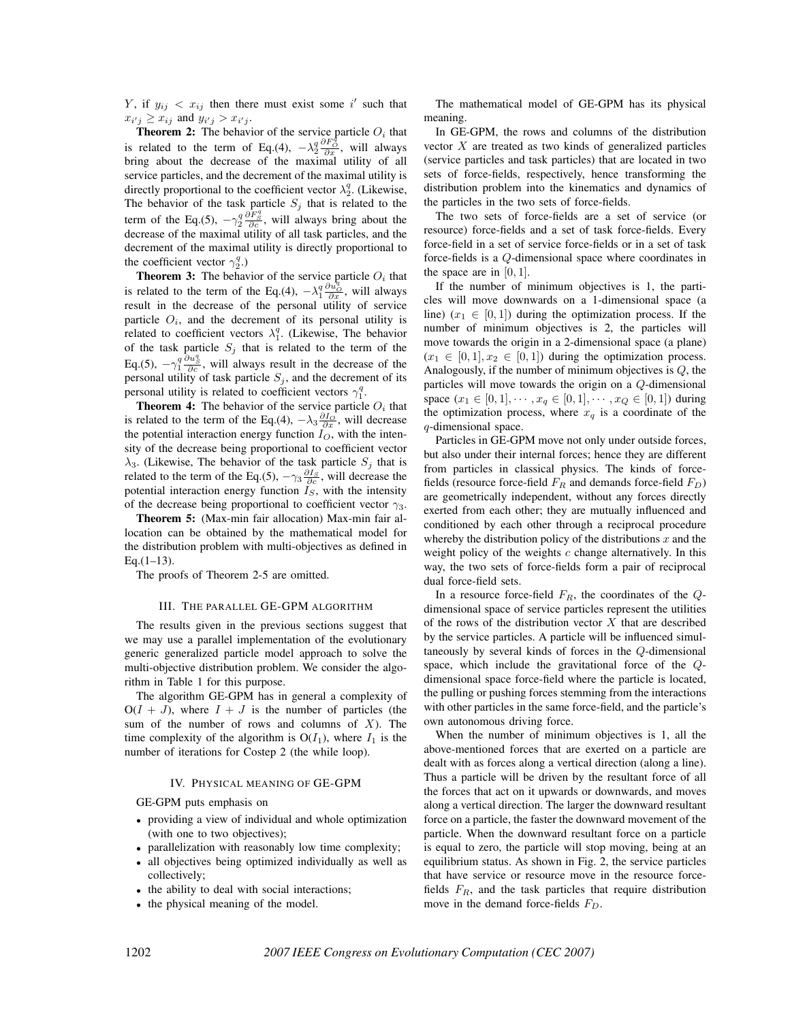Y, if  $y_{ij} < x_{ij}$  then there must exist some i' such that  $x_{i'j} \geq x_{ij}$  and  $y_{i'j} > x_{i'j}$ .

**Theorem 2:** The behavior of the service particle  $O_i$  that is related to the term of Eq.(4),  $-\lambda_2^q$  $\frac{\partial F_{\mathcal{O}}^{\phi}}{\partial x}$ , will always bring about the decrease of the maximal utility of all service particles, and the decrement of the maximal utility is directly proportional to the coefficient vector  $\lambda_2^q$ . (Likewise, The behavior of the task particle  $S_i$  that is related to the term of the Eq.(5),  $-\gamma_2^q$  $\frac{\partial F_S^q}{\partial c}$ , will always bring about the decrease of the maximal utility of all task particles, and the decrement of the maximal utility is directly proportional to the coefficient vector  $\gamma_2^q$ .)

**Theorem 3:** The behavior of the service particle  $O_i$  that is related to the term of the Eq.(4),  $-\lambda_1^q$  $\frac{\partial u_{\mathcal{O}}^{\mathbf{t}_q}}{\partial x}$ , will always result in the decrease of the personal utility of service particle  $O_i$ , and the decrement of its personal utility is related to coefficient vectors  $\lambda_1^q$ . (Likewise, The behavior of the task particle  $S_j$  that is related to the term of the Eq.(5),  $-\gamma_1^q$  $\frac{\partial u_{\rm S}^q}{\partial c}$ , will always result in the decrease of the personal utility of task particle  $S_j$ , and the decrement of its personal utility is related to coefficient vectors  $\gamma_1^q$ .

**Theorem 4:** The behavior of the service particle  $O_i$  that is related to the term of the Eq.(4),  $-\lambda_3 \frac{\partial I_O}{\partial x}$ , will decrease the potential interaction energy function  $I_O$ , with the intensity of the decrease being proportional to coefficient vector  $\lambda_3$ . (Likewise, The behavior of the task particle  $S_i$  that is related to the term of the Eq.(5),  $-\gamma_3 \frac{\partial I_S}{\partial c}$ , will decrease the potential interaction energy function  $I_{S}$ , with the intensity of the decrease being proportional to coefficient vector  $\gamma_3$ .

**Theorem 5:** (Max-min fair allocation) Max-min fair allocation can be obtained by the mathematical model for the distribution problem with multi-objectives as defined in  $Eq.(1-13).$ 

The proofs of Theorem 2-5 are omitted.

#### III. THE PARALLEL GE-GPM ALGORITHM

The results given in the previous sections suggest that we may use a parallel implementation of the evolutionary generic generalized particle model approach to solve the multi-objective distribution problem. We consider the algorithm in Table 1 for this purpose.

The algorithm GE-GPM has in general a complexity of  $O(I + J)$ , where  $I + J$  is the number of particles (the sum of the number of rows and columns of  $X$ ). The time complexity of the algorithm is  $O(I_1)$ , where  $I_1$  is the number of iterations for Costep 2 (the while loop).

#### IV. PHYSICAL MEANING OF GE-GPM

GE-GPM puts emphasis on

- providing a view of individual and whole optimization (with one to two objectives);
- parallelization with reasonably low time complexity;
- all objectives being optimized individually as well as collectively;
- the ability to deal with social interactions;
- the physical meaning of the model.

The mathematical model of GE-GPM has its physical meaning.

In GE-GPM, the rows and columns of the distribution vector  $X$  are treated as two kinds of generalized particles (service particles and task particles) that are located in two sets of force-fields, respectively, hence transforming the distribution problem into the kinematics and dynamics of the particles in the two sets of force-fields.

The two sets of force-fields are a set of service (or resource) force-fields and a set of task force-fields. Every force-field in a set of service force-fields or in a set of task force-fields is a Q-dimensional space where coordinates in the space are in  $[0, 1]$ .

If the number of minimum objectives is 1, the particles will move downwards on a 1-dimensional space (a line)  $(x_1 \in [0, 1])$  during the optimization process. If the number of minimum objectives is 2, the particles will move towards the origin in a 2-dimensional space (a plane)  $(x_1 \in [0, 1], x_2 \in [0, 1])$  during the optimization process. Analogously, if the number of minimum objectives is Q, the particles will move towards the origin on a Q-dimensional space  $(x_1 \in [0,1], \dots, x_q \in [0,1], \dots, x_Q \in [0,1])$  during the optimization process, where  $x_q$  is a coordinate of the q-dimensional space.

Particles in GE-GPM move not only under outside forces, but also under their internal forces; hence they are different from particles in classical physics. The kinds of forcefields (resource force-field  $F_R$  and demands force-field  $F_D$ ) are geometrically independent, without any forces directly exerted from each other; they are mutually influenced and conditioned by each other through a reciprocal procedure whereby the distribution policy of the distributions  $x$  and the weight policy of the weights  $c$  change alternatively. In this way, the two sets of force-fields form a pair of reciprocal dual force-field sets.

In a resource force-field  $F_R$ , the coordinates of the  $Q$ dimensional space of service particles represent the utilities of the rows of the distribution vector  $X$  that are described by the service particles. A particle will be influenced simultaneously by several kinds of forces in the Q-dimensional space, which include the gravitational force of the Qdimensional space force-field where the particle is located, the pulling or pushing forces stemming from the interactions with other particles in the same force-field, and the particle's own autonomous driving force.

When the number of minimum objectives is 1, all the above-mentioned forces that are exerted on a particle are dealt with as forces along a vertical direction (along a line). Thus a particle will be driven by the resultant force of all the forces that act on it upwards or downwards, and moves along a vertical direction. The larger the downward resultant force on a particle, the faster the downward movement of the particle. When the downward resultant force on a particle is equal to zero, the particle will stop moving, being at an equilibrium status. As shown in Fig. 2, the service particles that have service or resource move in the resource forcefields  $F_R$ , and the task particles that require distribution move in the demand force-fields  $F_D$ .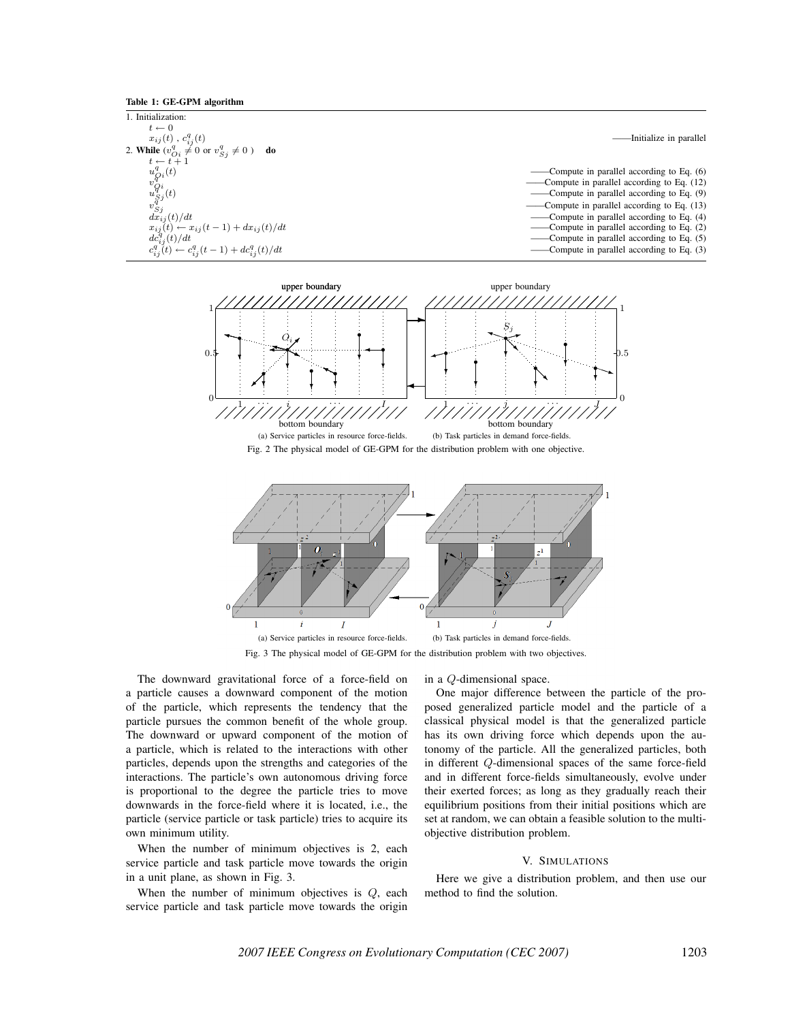**Table 1: GE-GPM algorithm**

| 1. Initialization:                                                               |                                            |
|----------------------------------------------------------------------------------|--------------------------------------------|
| $t \leftarrow 0$                                                                 |                                            |
| $x_{ij}(t)$ , $c_{ij}^{q}(t)$                                                    | ——Initialize in parallel                   |
| 2. While $(v_{Oi}^q \neq 0 \text{ or } v_{Si}^q \neq 0)$<br>do                   |                                            |
| $t \leftarrow t + 1$                                                             |                                            |
|                                                                                  | -Compute in parallel according to Eq. (6)  |
|                                                                                  | -Compute in parallel according to Eq. (12) |
| $\begin{array}{l} u^q_{Qi}(t)\\ v^q_{Qi}\\ u^q_{Sj}(t)\\ v^q_{Sj}\\ \end{array}$ | -Compute in parallel according to Eq. (9)  |
|                                                                                  | -Compute in parallel according to Eq. (13) |
| $dx_{ij}(t)/dt$                                                                  | -Compute in parallel according to Eq. (4)  |
| $x_{ij}(t) \leftarrow x_{ij}(t-1) + dx_{ij}(t)/dt$                               | -Compute in parallel according to Eq. (2)  |
| $dc_{ij}^{q}(t)/dt$                                                              | — Compute in parallel according to Eq. (5) |
| $c_{ij}^q(t) \leftarrow c_{ij}^q(t-1) + dc_{ij}^q(t)/dt$                         | — Compute in parallel according to Eq. (3) |



Fig. 2 The physical model of GE-GPM for the distribution problem with one objective.



Fig. 3 The physical model of GE-GPM for the distribution problem with two objectives.

The downward gravitational force of a force-field on a particle causes a downward component of the motion of the particle, which represents the tendency that the particle pursues the common benefit of the whole group. The downward or upward component of the motion of a particle, which is related to the interactions with other particles, depends upon the strengths and categories of the interactions. The particle's own autonomous driving force is proportional to the degree the particle tries to move downwards in the force-field where it is located, i.e., the particle (service particle or task particle) tries to acquire its own minimum utility.

When the number of minimum objectives is 2, each service particle and task particle move towards the origin in a unit plane, as shown in Fig. 3.

When the number of minimum objectives is Q, each service particle and task particle move towards the origin in a Q-dimensional space.

One major difference between the particle of the proposed generalized particle model and the particle of a classical physical model is that the generalized particle has its own driving force which depends upon the autonomy of the particle. All the generalized particles, both in different Q-dimensional spaces of the same force-field and in different force-fields simultaneously, evolve under their exerted forces; as long as they gradually reach their equilibrium positions from their initial positions which are set at random, we can obtain a feasible solution to the multiobjective distribution problem.

## V. SIMULATIONS

Here we give a distribution problem, and then use our method to find the solution.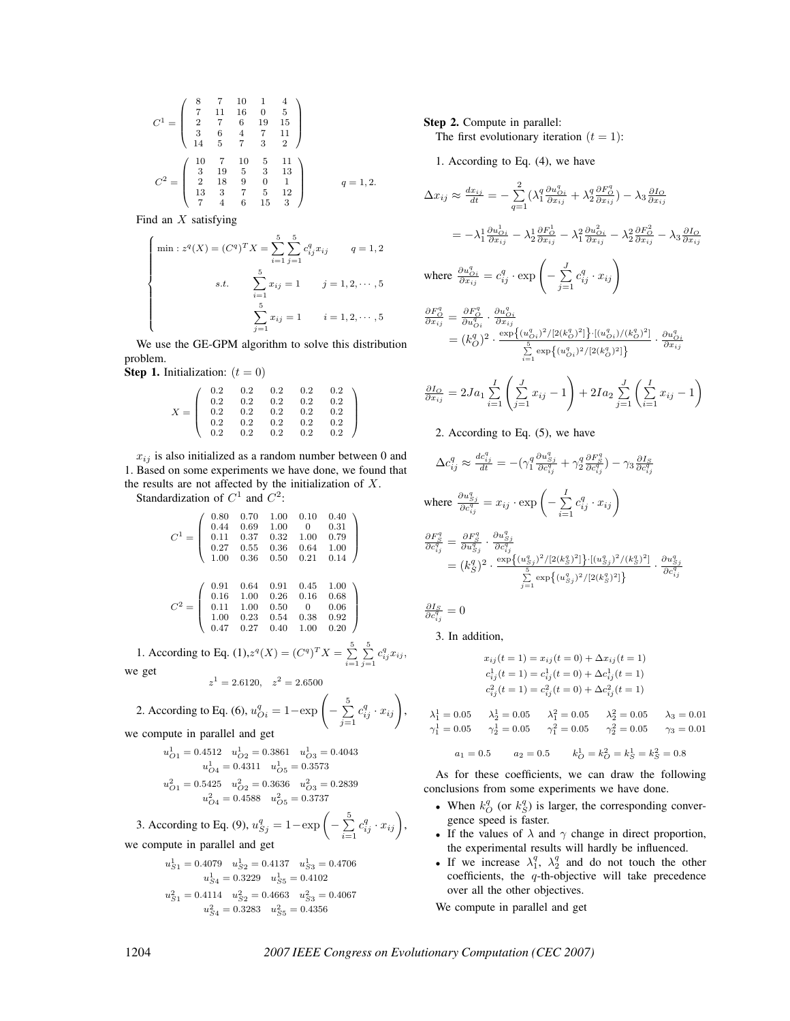$$
C^{1} = \begin{pmatrix} 8 & 7 & 10 & 1 & 4 \\ 7 & 11 & 16 & 0 & 5 \\ 2 & 7 & 6 & 19 & 15 \\ 3 & 6 & 4 & 7 & 11 \\ 14 & 5 & 7 & 3 & 2 \end{pmatrix}
$$
  

$$
C^{2} = \begin{pmatrix} 10 & 7 & 10 & 5 & 11 \\ 3 & 19 & 5 & 3 & 13 \\ 2 & 18 & 9 & 0 & 1 \\ 13 & 3 & 7 & 5 & 12 \\ 7 & 4 & 6 & 15 & 3 \end{pmatrix} \qquad q = 1, 2.
$$

Find an  $X$  satisfying

$$
\begin{cases}\n\min: z^q(X) = (C^q)^T X = \sum_{i=1}^5 \sum_{j=1}^5 c_{ij}^q x_{ij} & q = 1, 2 \\
s.t. & \sum_{i=1}^5 x_{ij} = 1 & j = 1, 2, \cdots, 5 \\
\sum_{j=1}^5 x_{ij} = 1 & i = 1, 2, \cdots, 5\n\end{cases}
$$

We use the GE-GPM algorithm to solve this distribution problem.

**Step 1.** Initialization: 
$$
(t = 0)
$$

$$
X=\left(\begin{array}{cccccc} 0.2 & 0.2 & 0.2 & 0.2 & 0.2 \\ 0.2 & 0.2 & 0.2 & 0.2 & 0.2 \\ 0.2 & 0.2 & 0.2 & 0.2 & 0.2 \\ 0.2 & 0.2 & 0.2 & 0.2 & 0.2 \\ 0.2 & 0.2 & 0.2 & 0.2 & 0.2 \end{array}\right)
$$

 $x_{ij}$  is also initialized as a random number between 0 and 1. Based on some experiments we have done, we found that the results are not affected by the initialization of  $X$ .

Standardization of  $C^1$  and  $C^2$ :

$$
C^{1} = \left(\begin{array}{cccccc} 0.80 & 0.70 & 1.00 & 0.10 & 0.40 \\ 0.44 & 0.69 & 1.00 & 0 & 0.31 \\ 0.11 & 0.37 & 0.32 & 1.00 & 0.79 \\ 0.27 & 0.55 & 0.36 & 0.64 & 1.00 \\ 1.00 & 0.36 & 0.50 & 0.21 & 0.14 \end{array}\right)
$$

$$
C^{2} = \left(\begin{array}{cccccc} 0.91 & 0.64 & 0.91 & 0.45 & 1.00 \\ 0.16 & 1.00 & 0.26 & 0.16 & 0.68 \\ 0.11 & 1.00 & 0.50 & 0 & 0.06 \\ 1.00 & 0.23 & 0.54 & 0.38 & 0.92 \\ 0.47 & 0.27 & 0.40 & 1.00 & 0.20 \end{array}\right)
$$

1. According to Eq. (1),  $z^q(X) = (C^q)^T X = \sum_{i=1}^5 \sum_{j=1}^5$  $c_{ij}^q x_{ij}$ we get  $z^1 = 2.6120, \quad z^2 = 2.6500$ 

$$
z^1 = 2.6120, \quad z^2 = 2.6500
$$

2. According to Eq. (6), 
$$
u_{Oi}^q = 1 - \exp\left(-\sum_{j=1}^5 c_{ij}^q \cdot x_{ij}\right)
$$
,

we compute in parallel and get

$$
\begin{gathered} u_{O1}^1=0.4512 \quad u_{O2}^1=0.3861 \quad u_{O3}^1=0.4043\\ u_{O4}^1=0.4311 \quad u_{O5}^1=0.3573\\ u_{O1}^2=0.5425 \quad u_{O2}^2=0.3636 \quad u_{O3}^2=0.2839\\ u_{O4}^2=0.4588 \quad u_{O5}^2=0.3737 \end{gathered}
$$

3. According to Eq. (9),  $u_{Sj}^q = 1 - \exp\left(-\sum_{i=1}^5 \frac{1}{n_i} \right)$  $c_{ij}^q \cdot x_{ij}$ , we compute in parallel and get

$$
\begin{gathered} u_{S1}^1=0.4079 \quad u_{S2}^1=0.4137 \quad u_{S3}^1=0.4706\\ u_{S4}^1=0.3229 \quad u_{S5}^1=0.4102\\ u_{S1}^2=0.4114 \quad u_{S2}^2=0.4663 \quad u_{S3}^2=0.4067\\ u_{S4}^2=0.3283 \quad u_{S5}^2=0.4356 \end{gathered}
$$

**Step 2.** Compute in parallel:

The first evolutionary iteration  $(t = 1)$ :

1. According to Eq. (4), we have

$$
\Delta x_{ij} \approx \frac{dx_{ij}}{dt} = -\sum_{q=1}^{2} \left(\lambda_1^q \frac{\partial u_{0i}^q}{\partial x_{ij}} + \lambda_2^q \frac{\partial F_0^q}{\partial x_{ij}}\right) - \lambda_3 \frac{\partial I_O}{\partial x_{ij}}
$$
  
\n
$$
= -\lambda_1^1 \frac{\partial u_{0i}^1}{\partial x_{ij}} - \lambda_2^1 \frac{\partial F_0^1}{\partial x_{ij}} - \lambda_1^2 \frac{\partial u_{0i}^2}{\partial x_{ij}} - \lambda_2^2 \frac{\partial F_0^2}{\partial x_{ij}} - \lambda_3 \frac{\partial I_O}{\partial x_{ij}}
$$
  
\nwhere  $\frac{\partial u_{0i}^q}{\partial x_{ij}} = c_{ij}^q \cdot \exp\left(-\sum_{j=1}^J c_{ij}^q \cdot x_{ij}\right)$   
\n
$$
\frac{\partial F_0^q}{\partial x_{ij}} = \frac{\partial F_0^q}{\partial u_{0i}^q} \cdot \frac{\partial u_{0i}^q}{\partial x_{ij}}
$$
  
\n
$$
= (k_0^q)^2 \cdot \frac{\exp\{(u_{0i}^q)^2/[2(k_0^q)^2]\} \cdot [(u_{0i}^q)/(k_0^q)^2]}{\sum_{i=1}^s \exp\{(u_{0i}^q)^2/[2(k_0^q)^2]\}} \cdot \frac{\partial u_{0i}^q}{\partial x_{ij}}
$$

$$
\frac{\partial I_O}{\partial x_{ij}} = 2Ja_1 \sum_{i=1}^{I} \left( \sum_{j=1}^{J} x_{ij} - 1 \right) + 2Ia_2 \sum_{j=1}^{J} \left( \sum_{i=1}^{I} x_{ij} - 1 \right)
$$

2. According to Eq. (5), we have

$$
\begin{split} \Delta c_{ij}^q &\approx \frac{dc_{ij}^q}{dt} = -\big(\gamma_1^q \frac{\partial u_{Sj}^q}{\partial c_{ij}^q} + \gamma_2^q \frac{\partial F_S^q}{\partial c_{ij}^q}\big) - \gamma_3 \frac{\partial I_S}{\partial c_{ij}^q} \\ \text{where } \frac{\partial u_{Sj}^q}{\partial c_{ij}^q} = x_{ij} \cdot \exp\bigg(-\sum_{i=1}^I c_{ij}^q \cdot x_{ij}\bigg) \\ \frac{\partial F_S^q}{\partial c_{ij}^q} & = \frac{\partial F_S^q}{\partial u_{Sj}^q} \cdot \frac{\partial u_{Sj}^q}{\partial c_{ij}^q} \\ & = (k_S^q)^2 \cdot \frac{\exp\big\{(u_{Sj}^q)^2/[2(k_S^q)^2]\big\} \cdot [(u_{Sj}^q)^2/(k_S^q)^2]}{\sum\limits_{j=1}^5 \exp\big\{(u_{Sj}^q)^2/[2(k_S^q)^2]\big\}} \cdot \frac{\partial u_{Sj}^q}{\partial c_{ij}^q} \end{split}
$$

$$
\frac{\partial I_S}{\partial c_{ij}^q} = 0
$$

3. In addition,

$$
x_{ij}(t=1) = x_{ij}(t=0) + \Delta x_{ij}(t=1)
$$
  
\n
$$
c_{ij}^1(t=1) = c_{ij}^1(t=0) + \Delta c_{ij}^1(t=1)
$$
  
\n
$$
c_{ij}^2(t=1) = c_{ij}^2(t=0) + \Delta c_{ij}^2(t=1)
$$

 $\lambda_1^1 = 0.05$   $\lambda_2^1 = 0.05$   $\lambda_1^2 = 0.05$   $\lambda_2^2 = 0.05$   $\lambda_3 = 0.01$  $\gamma_1^1 = 0.05$   $\gamma_2^1 = 0.05$   $\gamma_1^2 = 0.05$   $\gamma_2^2 = 0.05$   $\gamma_3 = 0.01$ 

$$
a_1 = 0.5 \qquad a_2 = 0.5 \qquad k_O^1 = k_O^2 = k_S^1 = k_S^2 = 0.8
$$

As for these coefficients, we can draw the following conclusions from some experiments we have done.

- When  $k_Q^q$  (or  $k_S^q$ ) is larger, the corresponding convergence speed is faster.
- If the values of  $\lambda$  and  $\gamma$  change in direct proportion, the experimental results will hardly be influenced.
- If we increase  $\lambda_1^q$ ,  $\lambda_2^q$  and do not touch the other coefficients, the  $q$ -th-objective will take precedence over all the other objectives.

We compute in parallel and get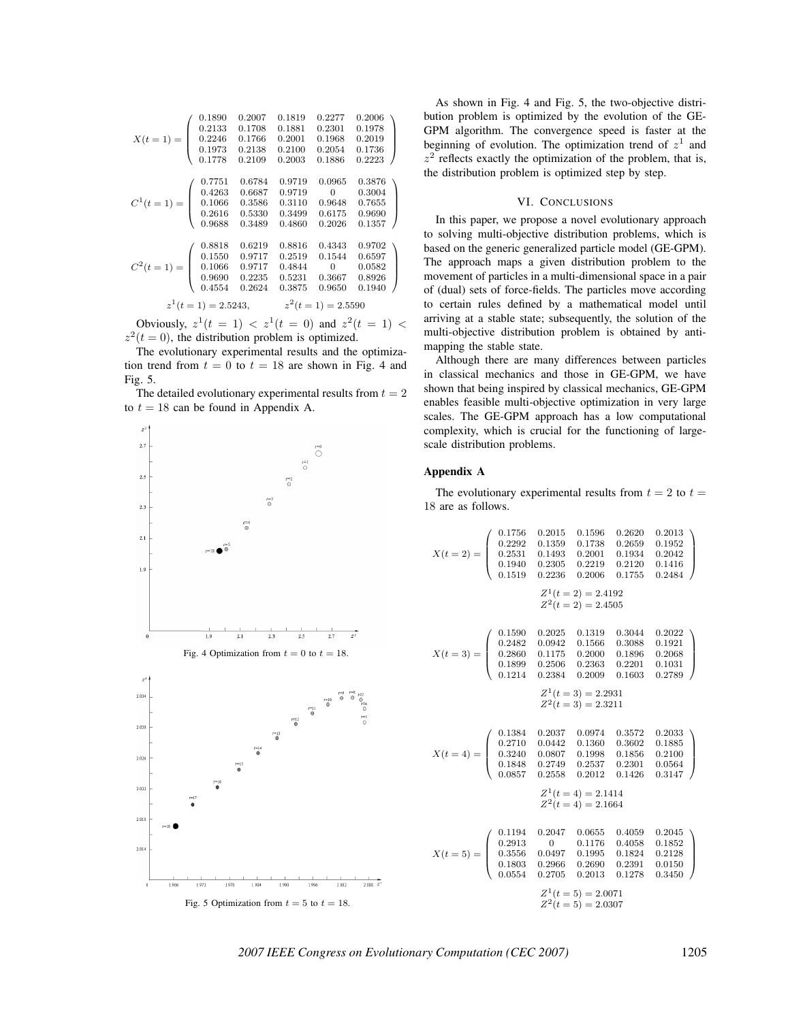$$
C^1(t=1)=\left(\begin{array}{cccccc} 0.1890 & 0.2007 & 0.1819 & 0.2277 & 0.2006 \\ 0.2133 & 0.1708 & 0.1881 & 0.2301 & 0.1978 \\ 0.2246 & 0.1766 & 0.2001 & 0.1968 & 0.2019 \\ 0.1973 & 0.2138 & 0.2100 & 0.2054 & 0.1736 \\ 0.1778 & 0.2109 & 0.2003 & 0.1886 & 0.2223 \end{array}\right)
$$

$$
C^1(t=1)=\left(\begin{array}{cccccc} 0.7751 & 0.6784 & 0.9719 & 0.0965 & 0.3876 \\ 0.4263 & 0.6687 & 0.9719 & 0 & 0.3004 \\ 0.1066 & 0.3586 & 0.3110 & 0.9648 & 0.7655 \\ 0.2616 & 0.5330 & 0.3499 & 0.6175 & 0.9690 \\ 0.9688 & 0.3489 & 0.4860 & 0.2026 & 0.1357 \end{array}\right)
$$

$$
C^2(t=1)=\left(\begin{array}{cccccc} 0.8818 & 0.6219 & 0.8816 & 0.4343 & 0.9702 \\ 0.1550 & 0.9717 & 0.2519 & 0.1544 & 0 & 0.0582 \\ 0.9690 & 0.2235 & 0.5231 & 0.3667 & 0.8926 \\ 0.9690 & 0.2235 & 0.5231 & 0.3667 & 0.8926 \\ 0.4554 & 0.2624 & 0.3875 & 0.9650 & 0.1940 \end{array}\right)
$$

Obviously,  $z^1(t = 1) < z^1(t = 0)$  and  $z^2(t = 1) <$  $z^2(t=0)$ , the distribution problem is optimized.

The evolutionary experimental results and the optimization trend from  $t = 0$  to  $t = 18$  are shown in Fig. 4 and Fig. 5.

The detailed evolutionary experimental results from  $t = 2$ to  $t = 18$  can be found in Appendix A.



As shown in Fig. 4 and Fig. 5, the two-objective distribution problem is optimized by the evolution of the GE-GPM algorithm. The convergence speed is faster at the beginning of evolution. The optimization trend of  $z<sup>1</sup>$  and  $z<sup>2</sup>$  reflects exactly the optimization of the problem, that is, the distribution problem is optimized step by step.

## VI. CONCLUSIONS

In this paper, we propose a novel evolutionary approach to solving multi-objective distribution problems, which is based on the generic generalized particle model (GE-GPM). The approach maps a given distribution problem to the movement of particles in a multi-dimensional space in a pair of (dual) sets of force-fields. The particles move according to certain rules defined by a mathematical model until arriving at a stable state; subsequently, the solution of the multi-objective distribution problem is obtained by antimapping the stable state.

Although there are many differences between particles in classical mechanics and those in GE-GPM, we have shown that being inspired by classical mechanics, GE-GPM enables feasible multi-objective optimization in very large scales. The GE-GPM approach has a low computational complexity, which is crucial for the functioning of largescale distribution problems.

## **Appendix A**

The evolutionary experimental results from  $t = 2$  to  $t =$ 18 are as follows.

$$
X(t=2)=\left(\begin{array}{cccc} 0.1756 & 0.2015 & 0.1596 & 0.2620 & 0.2013 \\ 0.2292 & 0.1359 & 0.1738 & 0.2659 & 0.1952 \\ 0.2531 & 0.1493 & 0.2001 & 0.1934 & 0.2042 \\ 0.1940 & 0.2305 & 0.2219 & 0.2120 & 0.1416 \\ 0.1519 & 0.2236 & 0.2006 & 0.1755 & 0.2484 \end{array}\right)
$$
  
\n
$$
Z^1(t=2)=2.4192
$$
  
\n
$$
Z^2(t=2)=2.4505
$$
  
\n
$$
X(t=3)=\left(\begin{array}{cccc} 0.1590 & 0.2025 & 0.1319 & 0.3044 & 0.2022 \\ 0.2482 & 0.0942 & 0.1566 & 0.3088 & 0.1921 \\ 0.2860 & 0.1175 & 0.2000 & 0.1896 & 0.2068 \\ 0.1899 & 0.2506 & 0.2363 & 0.2201 & 0.1031 \\ 0.1214 & 0.2384 & 0.2009 & 0.1603 & 0.2789 \end{array}\right)
$$
  
\n
$$
Z^1(t=3)=2.2931
$$
  
\n
$$
Z^2(t=3)=2.3211
$$
  
\n
$$
X(t=4)=\left(\begin{array}{cccc} 0.1384 & 0.2037 & 0.0974 & 0.3572 & 0.2033 \\ 0.2240 & 0.0442 & 0.1366 & 0.3602 & 0.1865 \\ 0.3240 & 0.0807 & 0.1998 & 0.1856 & 0.2100 \\ 0.1848 & 0.2749 & 0.2537 & 0.2301 & 0.0564 \\ 0.0857 & 0.2558 & 0.2012
$$